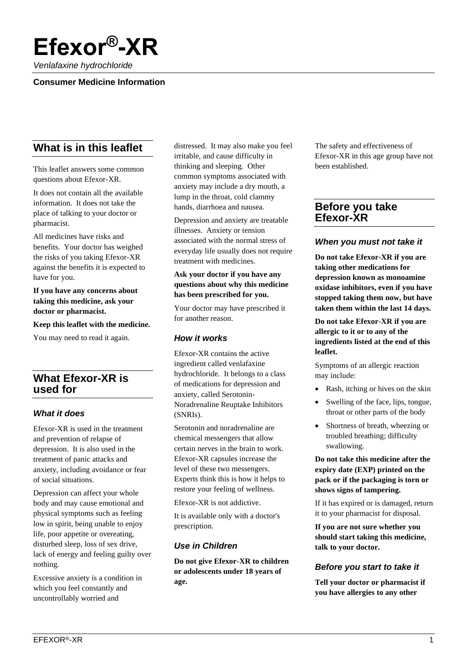

*Venlafaxine hydrochloride*

#### **Consumer Medicine Information**

# **What is in this leaflet**

This leaflet answers some common questions about Efexor-XR.

It does not contain all the available information. It does not take the place of talking to your doctor or pharmacist.

All medicines have risks and benefits. Your doctor has weighed the risks of you taking Efexor-XR against the benefits it is expected to have for you.

**If you have any concerns about taking this medicine, ask your doctor or pharmacist.**

**Keep this leaflet with the medicine.**

You may need to read it again.

# **What Efexor-XR is used for**

#### *What it does*

Efexor-XR is used in the treatment and prevention of relapse of depression. It is also used in the treatment of panic attacks and anxiety, including avoidance or fear of social situations.

Depression can affect your whole body and may cause emotional and physical symptoms such as feeling low in spirit, being unable to enjoy life, poor appetite or overeating, disturbed sleep, loss of sex drive, lack of energy and feeling guilty over nothing.

Excessive anxiety is a condition in which you feel constantly and uncontrollably worried and

distressed. It may also make you feel irritable, and cause difficulty in thinking and sleeping. Other common symptoms associated with anxiety may include a dry mouth, a lump in the throat, cold clammy hands, diarrhoea and nausea.

Depression and anxiety are treatable illnesses. Anxiety or tension associated with the normal stress of everyday life usually does not require treatment with medicines.

#### **Ask your doctor if you have any questions about why this medicine has been prescribed for you.**

Your doctor may have prescribed it for another reason.

#### *How it works*

Efexor-XR contains the active ingredient called venlafaxine hydrochloride. It belongs to a class of medications for depression and anxiety, called Serotonin-Noradrenaline Reuptake Inhibitors (SNRIs).

Serotonin and noradrenaline are chemical messengers that allow certain nerves in the brain to work. Efexor-XR capsules increase the level of these two messengers. Experts think this is how it helps to restore your feeling of wellness.

Efexor-XR is not addictive.

It is available only with a doctor's prescription.

#### *Use in Children*

**Do not give Efexor-XR to children or adolescents under 18 years of age.**

The safety and effectiveness of Efexor-XR in this age group have not been established.

# **Before you take Efexor-XR**

#### *When you must not take it*

**Do not take Efexor-XR if you are taking other medications for depression known as monoamine oxidase inhibitors, even if you have stopped taking them now, but have taken them within the last 14 days.**

**Do not take Efexor-XR if you are allergic to it or to any of the ingredients listed at the end of this leaflet.**

Symptoms of an allergic reaction may include:

- Rash, itching or hives on the skin
- Swelling of the face, lips, tongue, throat or other parts of the body
- Shortness of breath, wheezing or troubled breathing; difficulty swallowing.

**Do not take this medicine after the expiry date (EXP) printed on the pack or if the packaging is torn or shows signs of tampering.**

If it has expired or is damaged, return it to your pharmacist for disposal.

**If you are not sure whether you should start taking this medicine, talk to your doctor.**

#### *Before you start to take it*

**Tell your doctor or pharmacist if you have allergies to any other**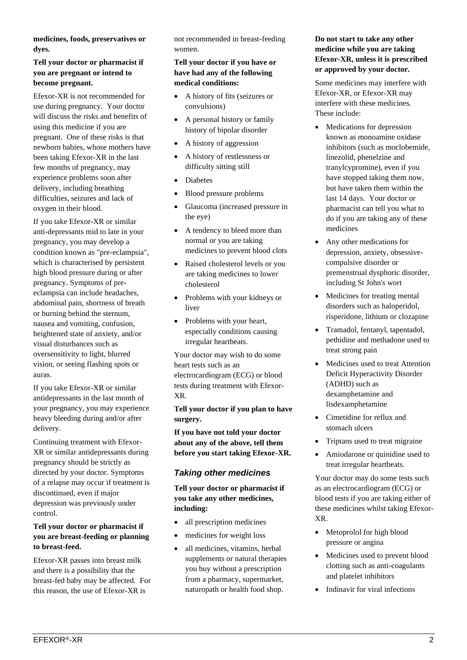**medicines, foods, preservatives or dyes.**

#### **Tell your doctor or pharmacist if you are pregnant or intend to become pregnant.**

Efexor-XR is not recommended for use during pregnancy. Your doctor will discuss the risks and benefits of using this medicine if you are pregnant. One of these risks is that newborn babies, whose mothers have been taking Efexor-XR in the last few months of pregnancy, may experience problems soon after delivery, including breathing difficulties, seizures and lack of oxygen in their blood.

If you take Efexor-XR or similar anti-depressants mid to late in your pregnancy, you may develop a condition known as "pre-eclampsia", which is characterised by persistent high blood pressure during or after pregnancy. Symptoms of preeclampsia can include headaches, abdominal pain, shortness of breath or burning behind the sternum, nausea and vomiting, confusion, heightened state of anxiety, and/or visual disturbances such as oversensitivity to light, blurred vision, or seeing flashing spots or auras.

If you take Efexor-XR or similar antidepressants in the last month of your pregnancy, you may experience heavy bleeding during and/or after delivery.

Continuing treatment with Efexor-XR or similar antidepressants during pregnancy should be strictly as directed by your doctor. Symptoms of a relapse may occur if treatment is discontinued, even if major depression was previously under control.

#### **Tell your doctor or pharmacist if you are breast-feeding or planning to breast-feed.**

Efexor-XR passes into breast milk and there is a possibility that the breast-fed baby may be affected. For this reason, the use of Efexor-XR is

not recommended in breast-feeding women.

#### **Tell your doctor if you have or have had any of the following medical conditions:**

- A history of fits (seizures or convulsions)
- A personal history or family history of bipolar disorder
- A history of aggression
- A history of restlessness or difficulty sitting still
- Diabetes
- Blood pressure problems
- Glaucoma (increased pressure in the eye)
- A tendency to bleed more than normal or you are taking medicines to prevent blood clots
- Raised cholesterol levels or you are taking medicines to lower cholesterol
- Problems with your kidneys or liver
- Problems with your heart, especially conditions causing irregular heartbeats.

Your doctor may wish to do some heart tests such as an electrocardiogram (ECG) or blood tests during treatment with Efexor-XR.

**Tell your doctor if you plan to have surgery.**

**If you have not told your doctor about any of the above, tell them before you start taking Efexor-XR.**

# *Taking other medicines*

**Tell your doctor or pharmacist if you take any other medicines, including:**

- all prescription medicines
- medicines for weight loss
- all medicines, vitamins, herbal supplements or natural therapies you buy without a prescription from a pharmacy, supermarket, naturopath or health food shop.

#### **Do not start to take any other medicine while you are taking Efexor-XR, unless it is prescribed or approved by your doctor.**

Some medicines may interfere with Efexor-XR, or Efexor-XR may interfere with these medicines. These include:

- Medications for depression known as monoamine oxidase inhibitors (such as moclobemide, linezolid, phenelzine and tranylcypromine), even if you have stopped taking them now, but have taken them within the last 14 days. Your doctor or pharmacist can tell you what to do if you are taking any of these medicines
- Any other medications for depression, anxiety, obsessivecompulsive disorder or premenstrual dysphoric disorder, including St John's wort
- Medicines for treating mental disorders such as haloperidol, risperidone, lithium or clozapine
- Tramadol, fentanyl, tapentadol, pethidine and methadone used to treat strong pain
- Medicines used to treat Attention Deficit Hyperactivity Disorder (ADHD) such as dexamphetamine and lisdexamphetamine
- Cimetidine for reflux and stomach ulcers
- Triptans used to treat migraine
- Amiodarone or quinidine used to treat irregular heartbeats.

Your doctor may do some tests such as an electrocardiogram (ECG) or blood tests if you are taking either of these medicines whilst taking Efexor-XR.

- Metoprolol for high blood pressure or angina
- Medicines used to prevent blood clotting such as anti-coagulants and platelet inhibitors
- Indinavir for viral infections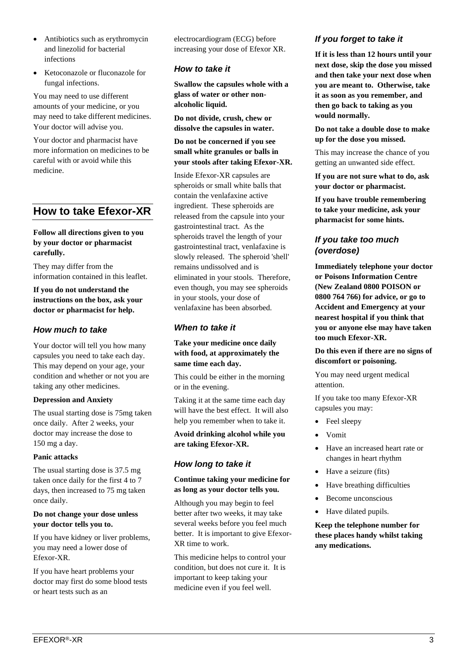- Antibiotics such as erythromycin and linezolid for bacterial infections
- Ketoconazole or fluconazole for fungal infections.

You may need to use different amounts of your medicine, or you may need to take different medicines. Your doctor will advise you.

Your doctor and pharmacist have more information on medicines to be careful with or avoid while this medicine.

# **How to take Efexor-XR**

#### **Follow all directions given to you by your doctor or pharmacist carefully.**

They may differ from the information contained in this leaflet.

**If you do not understand the instructions on the box, ask your doctor or pharmacist for help.**

## *How much to take*

Your doctor will tell you how many capsules you need to take each day. This may depend on your age, your condition and whether or not you are taking any other medicines.

#### **Depression and Anxiety**

The usual starting dose is 75mg taken once daily. After 2 weeks, your doctor may increase the dose to 150 mg a day.

#### **Panic attacks**

The usual starting dose is 37.5 mg taken once daily for the first 4 to 7 days, then increased to 75 mg taken once daily.

#### **Do not change your dose unless your doctor tells you to.**

If you have kidney or liver problems, you may need a lower dose of Efexor-XR.

If you have heart problems your doctor may first do some blood tests or heart tests such as an

electrocardiogram (ECG) before increasing your dose of Efexor XR.

#### *How to take it*

**Swallow the capsules whole with a glass of water or other nonalcoholic liquid.** 

**Do not divide, crush, chew or dissolve the capsules in water.** 

#### **Do not be concerned if you see small white granules or balls in your stools after taking Efexor-XR.**

Inside Efexor-XR capsules are spheroids or small white balls that contain the venlafaxine active ingredient. These spheroids are released from the capsule into your gastrointestinal tract. As the spheroids travel the length of your gastrointestinal tract, venlafaxine is slowly released. The spheroid 'shell' remains undissolved and is eliminated in your stools. Therefore, even though, you may see spheroids in your stools, your dose of venlafaxine has been absorbed.

## *When to take it*

#### **Take your medicine once daily with food, at approximately the same time each day.**

This could be either in the morning or in the evening.

Taking it at the same time each day will have the best effect. It will also help you remember when to take it.

**Avoid drinking alcohol while you are taking Efexor-XR.**

# *How long to take it*

#### **Continue taking your medicine for as long as your doctor tells you.**

Although you may begin to feel better after two weeks, it may take several weeks before you feel much better. It is important to give Efexor-XR time to work.

This medicine helps to control your condition, but does not cure it. It is important to keep taking your medicine even if you feel well.

# *If you forget to take it*

**If it is less than 12 hours until your next dose, skip the dose you missed and then take your next dose when you are meant to. Otherwise, take it as soon as you remember, and then go back to taking as you would normally.**

**Do not take a double dose to make up for the dose you missed.**

This may increase the chance of you getting an unwanted side effect.

**If you are not sure what to do, ask your doctor or pharmacist.**

**If you have trouble remembering to take your medicine, ask your pharmacist for some hints.**

## *If you take too much (overdose)*

**Immediately telephone your doctor or Poisons Information Centre (New Zealand 0800 POISON or 0800 764 766) for advice, or go to Accident and Emergency at your nearest hospital if you think that you or anyone else may have taken too much Efexor-XR.**

**Do this even if there are no signs of discomfort or poisoning.**

You may need urgent medical attention.

If you take too many Efexor-XR capsules you may:

- Feel sleepy
- Vomit
- Have an increased heart rate or changes in heart rhythm
- Have a seizure (fits)
- Have breathing difficulties
- Become unconscious
- Have dilated pupils.

**Keep the telephone number for these places handy whilst taking any medications.**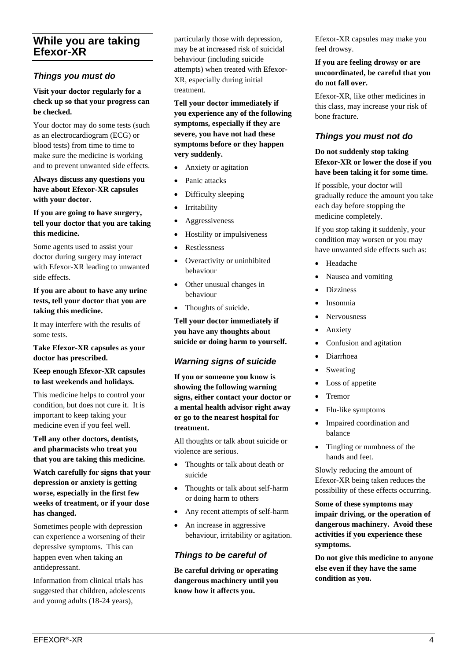# **While you are taking Efexor-XR**

## *Things you must do*

#### **Visit your doctor regularly for a check up so that your progress can be checked.**

Your doctor may do some tests (such as an electrocardiogram (ECG) or blood tests) from time to time to make sure the medicine is working and to prevent unwanted side effects.

#### **Always discuss any questions you have about Efexor-XR capsules with your doctor.**

#### **If you are going to have surgery, tell your doctor that you are taking this medicine.**

Some agents used to assist your doctor during surgery may interact with Efexor-XR leading to unwanted side effects.

#### **If you are about to have any urine tests, tell your doctor that you are taking this medicine.**

It may interfere with the results of some tests.

#### **Take Efexor-XR capsules as your doctor has prescribed.**

#### **Keep enough Efexor-XR capsules to last weekends and holidays.**

This medicine helps to control your condition, but does not cure it. It is important to keep taking your medicine even if you feel well.

**Tell any other doctors, dentists, and pharmacists who treat you that you are taking this medicine.**

**Watch carefully for signs that your depression or anxiety is getting worse, especially in the first few weeks of treatment, or if your dose has changed.**

Sometimes people with depression can experience a worsening of their depressive symptoms. This can happen even when taking an antidepressant.

Information from clinical trials has suggested that children, adolescents and young adults (18-24 years),

particularly those with depression, may be at increased risk of suicidal behaviour (including suicide attempts) when treated with Efexor-XR, especially during initial treatment.

**Tell your doctor immediately if you experience any of the following symptoms, especially if they are severe, you have not had these symptoms before or they happen very suddenly.**

- Anxiety or agitation
- Panic attacks
- Difficulty sleeping
- Irritability
- Aggressiveness
- Hostility or impulsiveness
- Restlessness
- Overactivity or uninhibited behaviour
- Other unusual changes in behaviour
- Thoughts of suicide.

**Tell your doctor immediately if you have any thoughts about suicide or doing harm to yourself.**

### *Warning signs of suicide*

**If you or someone you know is showing the following warning signs, either contact your doctor or a mental health advisor right away or go to the nearest hospital for treatment.**

All thoughts or talk about suicide or violence are serious.

- Thoughts or talk about death or suicide
- Thoughts or talk about self-harm or doing harm to others
- Any recent attempts of self-harm
- An increase in aggressive behaviour, irritability or agitation.

# *Things to be careful of*

**Be careful driving or operating dangerous machinery until you know how it affects you.**

Efexor-XR capsules may make you feel drowsy.

#### **If you are feeling drowsy or are uncoordinated, be careful that you do not fall over.**

Efexor-XR, like other medicines in this class, may increase your risk of bone fracture.

## *Things you must not do*

#### **Do not suddenly stop taking Efexor-XR or lower the dose if you have been taking it for some time.**

If possible, your doctor will gradually reduce the amount you take each day before stopping the medicine completely.

If you stop taking it suddenly, your condition may worsen or you may have unwanted side effects such as:

- Headache
- Nausea and vomiting
- **Dizziness**
- Insomnia
- **Nervousness**
- **Anxiety**
- Confusion and agitation
- Diarrhoea
- **Sweating**
- Loss of appetite
- Tremor
- Flu-like symptoms
- Impaired coordination and balance
- Tingling or numbness of the hands and feet.

Slowly reducing the amount of Efexor-XR being taken reduces the possibility of these effects occurring.

**Some of these symptoms may impair driving, or the operation of dangerous machinery. Avoid these activities if you experience these symptoms.**

**Do not give this medicine to anyone else even if they have the same condition as you.**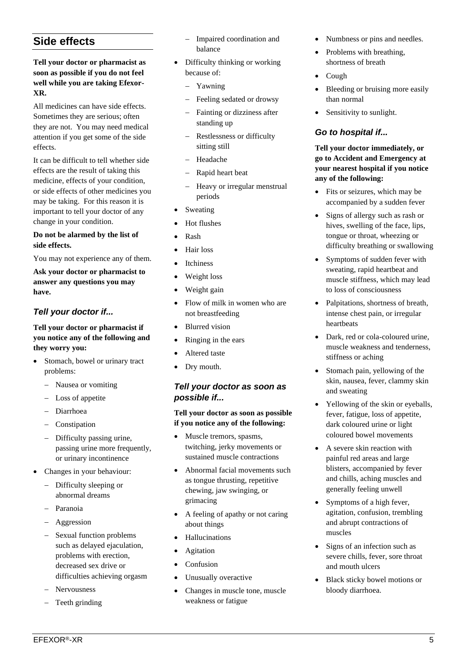# **Side effects**

#### **Tell your doctor or pharmacist as soon as possible if you do not feel well while you are taking Efexor-XR.**

All medicines can have side effects. Sometimes they are serious; often they are not. You may need medical attention if you get some of the side effects.

It can be difficult to tell whether side effects are the result of taking this medicine, effects of your condition, or side effects of other medicines you may be taking. For this reason it is important to tell your doctor of any change in your condition.

#### **Do not be alarmed by the list of side effects.**

You may not experience any of them.

**Ask your doctor or pharmacist to answer any questions you may have.**

# *Tell your doctor if...*

#### **Tell your doctor or pharmacist if you notice any of the following and they worry you:**

- Stomach, bowel or urinary tract problems:
	- − Nausea or vomiting
	- − Loss of appetite
	- − Diarrhoea
	- − Constipation
	- − Difficulty passing urine, passing urine more frequently, or urinary incontinence
- Changes in your behaviour:
	- − Difficulty sleeping or abnormal dreams
	- − Paranoia
	- − Aggression
	- Sexual function problems such as delayed ejaculation. problems with erection, decreased sex drive or difficulties achieving orgasm
	- − Nervousness
	- − Teeth grinding
- − Impaired coordination and balance
- Difficulty thinking or working because of:
	- − Yawning
	- − Feeling sedated or drowsy
	- Fainting or dizziness after standing up
	- Restlessness or difficulty sitting still
	- − Headache
	- − Rapid heart beat
	- − Heavy or irregular menstrual periods
- **Sweating**
- Hot flushes
- Rash
- Hair loss
- **Itchiness**
- Weight loss
- Weight gain
- Flow of milk in women who are not breastfeeding
- Blurred vision
- Ringing in the ears
- Altered taste
- Drv mouth.

## *Tell your doctor as soon as possible if...*

**Tell your doctor as soon as possible if you notice any of the following:**

- Muscle tremors, spasms, twitching, jerky movements or sustained muscle contractions
- Abnormal facial movements such as tongue thrusting, repetitive chewing, jaw swinging, or grimacing
- A feeling of apathy or not caring about things
- Hallucinations
- **Agitation**
- Confusion
- Unusually overactive
- Changes in muscle tone, muscle weakness or fatigue
- Numbness or pins and needles.
- Problems with breathing, shortness of breath
- Cough
- Bleeding or bruising more easily than normal
- Sensitivity to sunlight.

# *Go to hospital if...*

**Tell your doctor immediately, or go to Accident and Emergency at your nearest hospital if you notice any of the following:** 

- Fits or seizures, which may be accompanied by a sudden fever
- Signs of allergy such as rash or hives, swelling of the face, lips, tongue or throat, wheezing or difficulty breathing or swallowing
- Symptoms of sudden fever with sweating, rapid heartbeat and muscle stiffness, which may lead to loss of consciousness
- Palpitations, shortness of breath, intense chest pain, or irregular heartbeats
- Dark, red or cola-coloured urine, muscle weakness and tenderness, stiffness or aching
- Stomach pain, yellowing of the skin, nausea, fever, clammy skin and sweating
- Yellowing of the skin or eyeballs, fever, fatigue, loss of appetite, dark coloured urine or light coloured bowel movements
- A severe skin reaction with painful red areas and large blisters, accompanied by fever and chills, aching muscles and generally feeling unwell
- Symptoms of a high fever, agitation, confusion, trembling and abrupt contractions of muscles
- Signs of an infection such as severe chills, fever, sore throat and mouth ulcers
- Black sticky bowel motions or bloody diarrhoea.